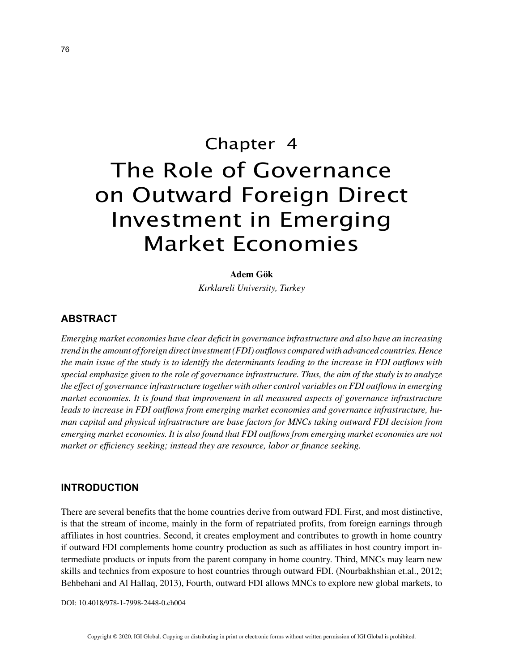# Chapter 4 The Role of Governance on Outward Foreign Direct Investment in Emerging Market Economies

#### **Adem Gök**

*Kırklareli University, Turkey*

# **ABSTRACT**

*Emerging market economies have clear deficit in governance infrastructure and also have an increasing trend in the amount of foreign direct investment (FDI) outflows compared with advanced countries. Hence the main issue of the study is to identify the determinants leading to the increase in FDI outflows with special emphasize given to the role of governance infrastructure. Thus, the aim of the study is to analyze the effect of governance infrastructure together with other control variables on FDI outflows in emerging market economies. It is found that improvement in all measured aspects of governance infrastructure leads to increase in FDI outflows from emerging market economies and governance infrastructure, human capital and physical infrastructure are base factors for MNCs taking outward FDI decision from emerging market economies. It is also found that FDI outflows from emerging market economies are not market or efficiency seeking; instead they are resource, labor or finance seeking.*

## **INTRODUCTION**

There are several benefits that the home countries derive from outward FDI. First, and most distinctive, is that the stream of income, mainly in the form of repatriated profits, from foreign earnings through affiliates in host countries. Second, it creates employment and contributes to growth in home country if outward FDI complements home country production as such as affiliates in host country import intermediate products or inputs from the parent company in home country. Third, MNCs may learn new skills and technics from exposure to host countries through outward FDI. (Nourbakhshian et.al., 2012; Behbehani and Al Hallaq, 2013), Fourth, outward FDI allows MNCs to explore new global markets, to

DOI: 10.4018/978-1-7998-2448-0.ch004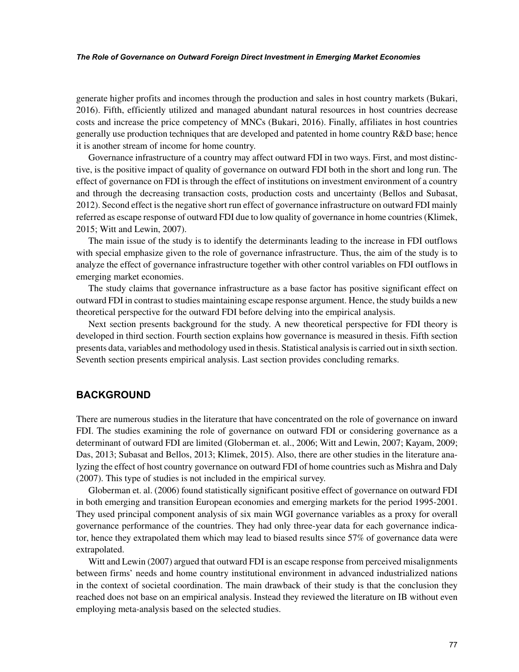#### *The Role of Governance on Outward Foreign Direct Investment in Emerging Market Economies*

generate higher profits and incomes through the production and sales in host country markets (Bukari, 2016). Fifth, efficiently utilized and managed abundant natural resources in host countries decrease costs and increase the price competency of MNCs (Bukari, 2016). Finally, affiliates in host countries generally use production techniques that are developed and patented in home country R&D base; hence it is another stream of income for home country.

Governance infrastructure of a country may affect outward FDI in two ways. First, and most distinctive, is the positive impact of quality of governance on outward FDI both in the short and long run. The effect of governance on FDI is through the effect of institutions on investment environment of a country and through the decreasing transaction costs, production costs and uncertainty (Bellos and Subasat, 2012). Second effect is the negative short run effect of governance infrastructure on outward FDI mainly referred as escape response of outward FDI due to low quality of governance in home countries (Klimek, 2015; Witt and Lewin, 2007).

The main issue of the study is to identify the determinants leading to the increase in FDI outflows with special emphasize given to the role of governance infrastructure. Thus, the aim of the study is to analyze the effect of governance infrastructure together with other control variables on FDI outflows in emerging market economies.

The study claims that governance infrastructure as a base factor has positive significant effect on outward FDI in contrast to studies maintaining escape response argument. Hence, the study builds a new theoretical perspective for the outward FDI before delving into the empirical analysis.

Next section presents background for the study. A new theoretical perspective for FDI theory is developed in third section. Fourth section explains how governance is measured in thesis. Fifth section presents data, variables and methodology used in thesis. Statistical analysis is carried out in sixth section. Seventh section presents empirical analysis. Last section provides concluding remarks.

## **BACKGROUND**

There are numerous studies in the literature that have concentrated on the role of governance on inward FDI. The studies examining the role of governance on outward FDI or considering governance as a determinant of outward FDI are limited (Globerman et. al., 2006; Witt and Lewin, 2007; Kayam, 2009; Das, 2013; Subasat and Bellos, 2013; Klimek, 2015). Also, there are other studies in the literature analyzing the effect of host country governance on outward FDI of home countries such as Mishra and Daly (2007). This type of studies is not included in the empirical survey.

Globerman et. al. (2006) found statistically significant positive effect of governance on outward FDI in both emerging and transition European economies and emerging markets for the period 1995-2001. They used principal component analysis of six main WGI governance variables as a proxy for overall governance performance of the countries. They had only three-year data for each governance indicator, hence they extrapolated them which may lead to biased results since 57% of governance data were extrapolated.

Witt and Lewin (2007) argued that outward FDI is an escape response from perceived misalignments between firms' needs and home country institutional environment in advanced industrialized nations in the context of societal coordination. The main drawback of their study is that the conclusion they reached does not base on an empirical analysis. Instead they reviewed the literature on IB without even employing meta-analysis based on the selected studies.